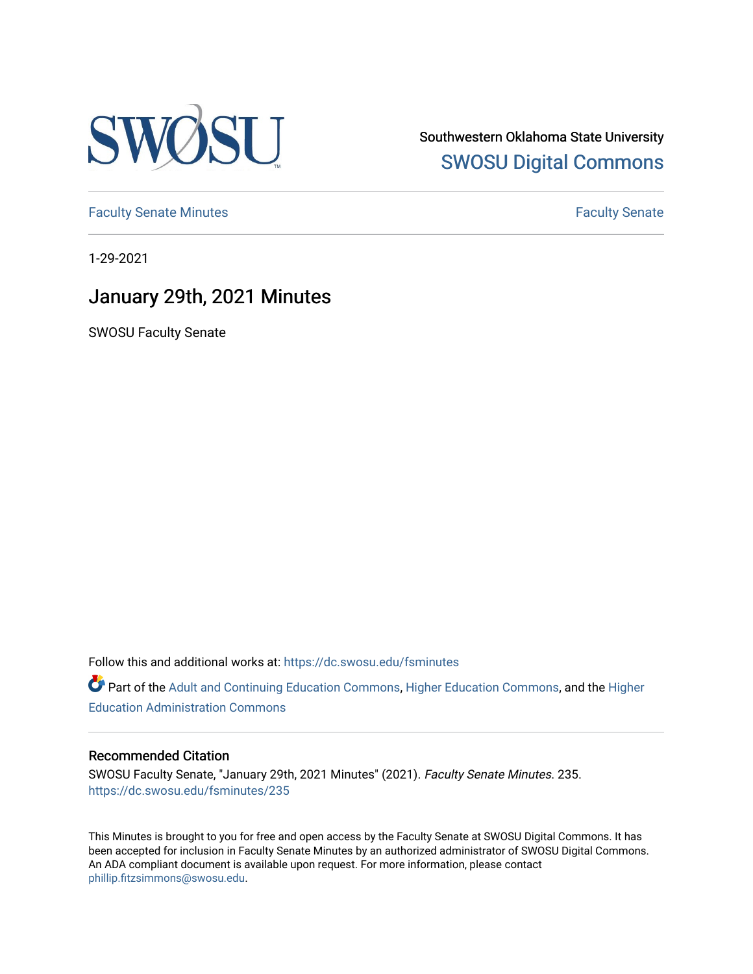

Southwestern Oklahoma State University [SWOSU Digital Commons](https://dc.swosu.edu/) 

[Faculty Senate Minutes](https://dc.swosu.edu/fsminutes) **Faculty** Senate Minutes

1-29-2021

## January 29th, 2021 Minutes

SWOSU Faculty Senate

Follow this and additional works at: [https://dc.swosu.edu/fsminutes](https://dc.swosu.edu/fsminutes?utm_source=dc.swosu.edu%2Ffsminutes%2F235&utm_medium=PDF&utm_campaign=PDFCoverPages) 

Part of the [Adult and Continuing Education Commons,](http://network.bepress.com/hgg/discipline/1375?utm_source=dc.swosu.edu%2Ffsminutes%2F235&utm_medium=PDF&utm_campaign=PDFCoverPages) [Higher Education Commons,](http://network.bepress.com/hgg/discipline/1245?utm_source=dc.swosu.edu%2Ffsminutes%2F235&utm_medium=PDF&utm_campaign=PDFCoverPages) and the [Higher](http://network.bepress.com/hgg/discipline/791?utm_source=dc.swosu.edu%2Ffsminutes%2F235&utm_medium=PDF&utm_campaign=PDFCoverPages) [Education Administration Commons](http://network.bepress.com/hgg/discipline/791?utm_source=dc.swosu.edu%2Ffsminutes%2F235&utm_medium=PDF&utm_campaign=PDFCoverPages) 

## Recommended Citation

SWOSU Faculty Senate, "January 29th, 2021 Minutes" (2021). Faculty Senate Minutes. 235. [https://dc.swosu.edu/fsminutes/235](https://dc.swosu.edu/fsminutes/235?utm_source=dc.swosu.edu%2Ffsminutes%2F235&utm_medium=PDF&utm_campaign=PDFCoverPages) 

This Minutes is brought to you for free and open access by the Faculty Senate at SWOSU Digital Commons. It has been accepted for inclusion in Faculty Senate Minutes by an authorized administrator of SWOSU Digital Commons. An ADA compliant document is available upon request. For more information, please contact [phillip.fitzsimmons@swosu.edu](mailto:phillip.fitzsimmons@swosu.edu).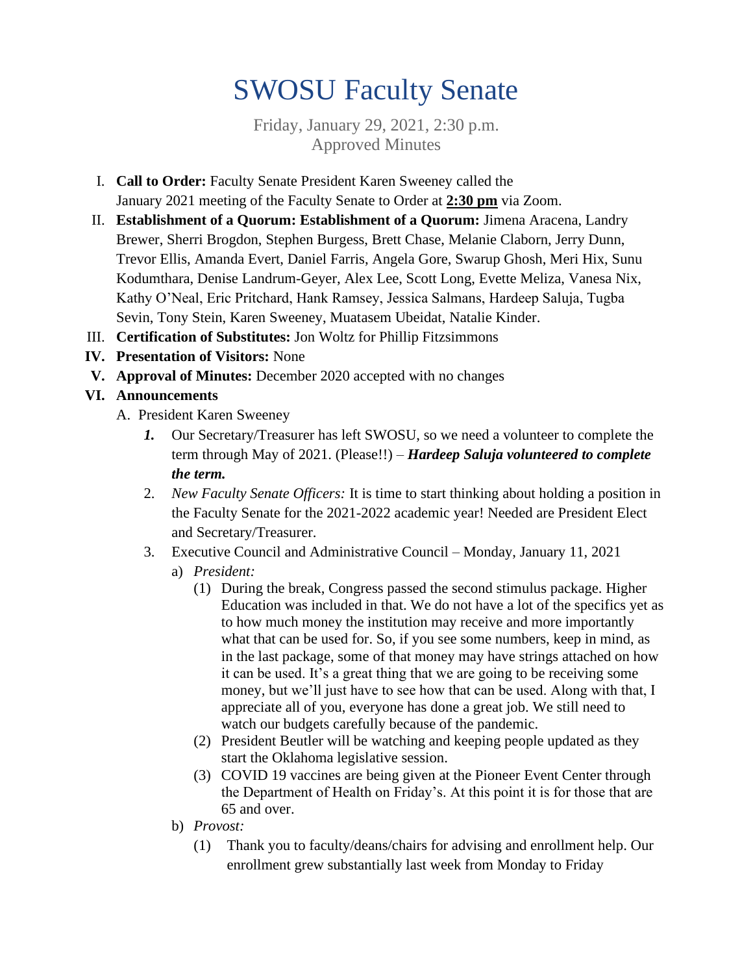## SWOSU Faculty Senate

Friday, January 29, 2021, 2:30 p.m. Approved Minutes

- I. **Call to Order:** Faculty Senate President Karen Sweeney called the January 2021 meeting of the Faculty Senate to Order at **2:30 pm** via Zoom.
- II. **Establishment of a Quorum: Establishment of a Quorum:** Jimena Aracena, Landry Brewer, Sherri Brogdon, Stephen Burgess, Brett Chase, Melanie Claborn, Jerry Dunn, Trevor Ellis, Amanda Evert, Daniel Farris, Angela Gore, Swarup Ghosh, Meri Hix, Sunu Kodumthara, Denise Landrum-Geyer, Alex Lee, Scott Long, Evette Meliza, Vanesa Nix, Kathy O'Neal, Eric Pritchard, Hank Ramsey, Jessica Salmans, Hardeep Saluja, Tugba Sevin, Tony Stein, Karen Sweeney, Muatasem Ubeidat, Natalie Kinder.
- III. **Certification of Substitutes:** Jon Woltz for Phillip Fitzsimmons
- **IV. Presentation of Visitors:** None
- **V. Approval of Minutes:** December 2020 accepted with no changes
- **VI. Announcements**
	- A. President Karen Sweeney
		- *1.* Our Secretary/Treasurer has left SWOSU, so we need a volunteer to complete the term through May of 2021. (Please!!) – *Hardeep Saluja volunteered to complete the term.*
		- 2. *New Faculty Senate Officers:* It is time to start thinking about holding a position in the Faculty Senate for the 2021-2022 academic year! Needed are President Elect and Secretary/Treasurer.
		- 3. Executive Council and Administrative Council Monday, January 11, 2021
			- a) *President:*
				- (1) During the break, Congress passed the second stimulus package. Higher Education was included in that. We do not have a lot of the specifics yet as to how much money the institution may receive and more importantly what that can be used for. So, if you see some numbers, keep in mind, as in the last package, some of that money may have strings attached on how it can be used. It's a great thing that we are going to be receiving some money, but we'll just have to see how that can be used. Along with that, I appreciate all of you, everyone has done a great job. We still need to watch our budgets carefully because of the pandemic.
				- (2) President Beutler will be watching and keeping people updated as they start the Oklahoma legislative session.
				- (3) COVID 19 vaccines are being given at the Pioneer Event Center through the Department of Health on Friday's. At this point it is for those that are 65 and over.
			- b) *Provost:*
				- (1) Thank you to faculty/deans/chairs for advising and enrollment help. Our enrollment grew substantially last week from Monday to Friday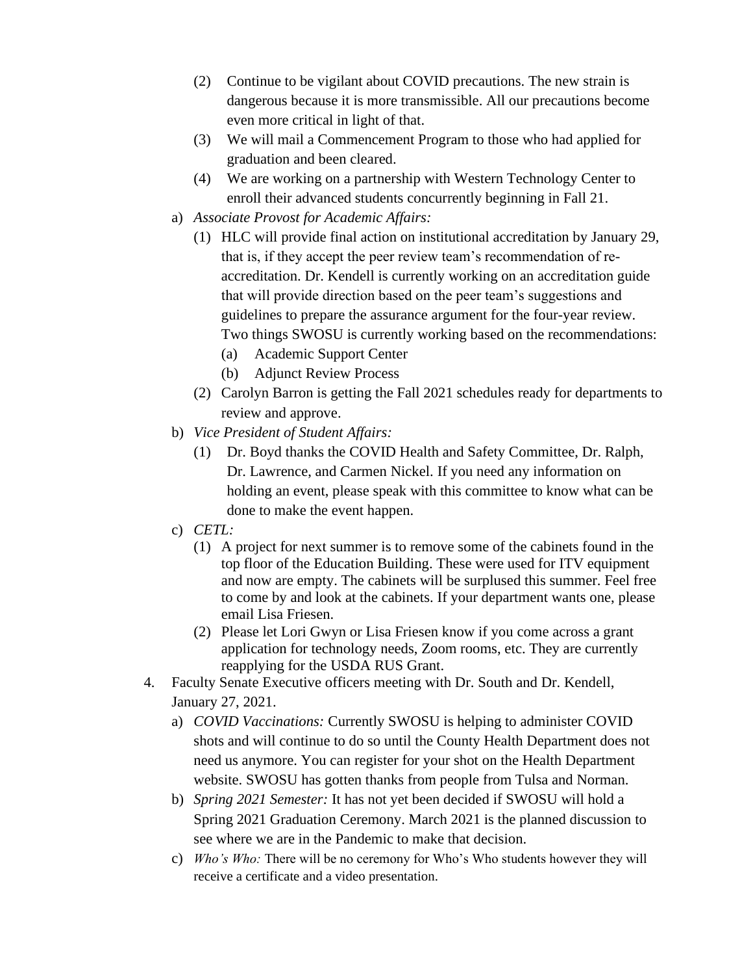- (2) Continue to be vigilant about COVID precautions. The new strain is dangerous because it is more transmissible. All our precautions become even more critical in light of that.
- (3) We will mail a Commencement Program to those who had applied for graduation and been cleared.
- (4) We are working on a partnership with Western Technology Center to enroll their advanced students concurrently beginning in Fall 21.
- a) *Associate Provost for Academic Affairs:*
	- (1) HLC will provide final action on institutional accreditation by January 29, that is, if they accept the peer review team's recommendation of reaccreditation. Dr. Kendell is currently working on an accreditation guide that will provide direction based on the peer team's suggestions and guidelines to prepare the assurance argument for the four-year review. Two things SWOSU is currently working based on the recommendations:
		- (a) Academic Support Center
		- (b) Adjunct Review Process
	- (2) Carolyn Barron is getting the Fall 2021 schedules ready for departments to review and approve.
- b) *Vice President of Student Affairs:*
	- (1) Dr. Boyd thanks the COVID Health and Safety Committee, Dr. Ralph, Dr. Lawrence, and Carmen Nickel. If you need any information on holding an event, please speak with this committee to know what can be done to make the event happen.
- c) *CETL:* 
	- (1) A project for next summer is to remove some of the cabinets found in the top floor of the Education Building. These were used for ITV equipment and now are empty. The cabinets will be surplused this summer. Feel free to come by and look at the cabinets. If your department wants one, please email Lisa Friesen.
	- (2) Please let Lori Gwyn or Lisa Friesen know if you come across a grant application for technology needs, Zoom rooms, etc. They are currently reapplying for the USDA RUS Grant.
- 4. Faculty Senate Executive officers meeting with Dr. South and Dr. Kendell, January 27, 2021.
	- a) *COVID Vaccinations:* Currently SWOSU is helping to administer COVID shots and will continue to do so until the County Health Department does not need us anymore. You can register for your shot on the Health Department website. SWOSU has gotten thanks from people from Tulsa and Norman.
	- b) *Spring 2021 Semester:* It has not yet been decided if SWOSU will hold a Spring 2021 Graduation Ceremony. March 2021 is the planned discussion to see where we are in the Pandemic to make that decision.
	- c) *Who's Who:* There will be no ceremony for Who's Who students however they will receive a certificate and a video presentation.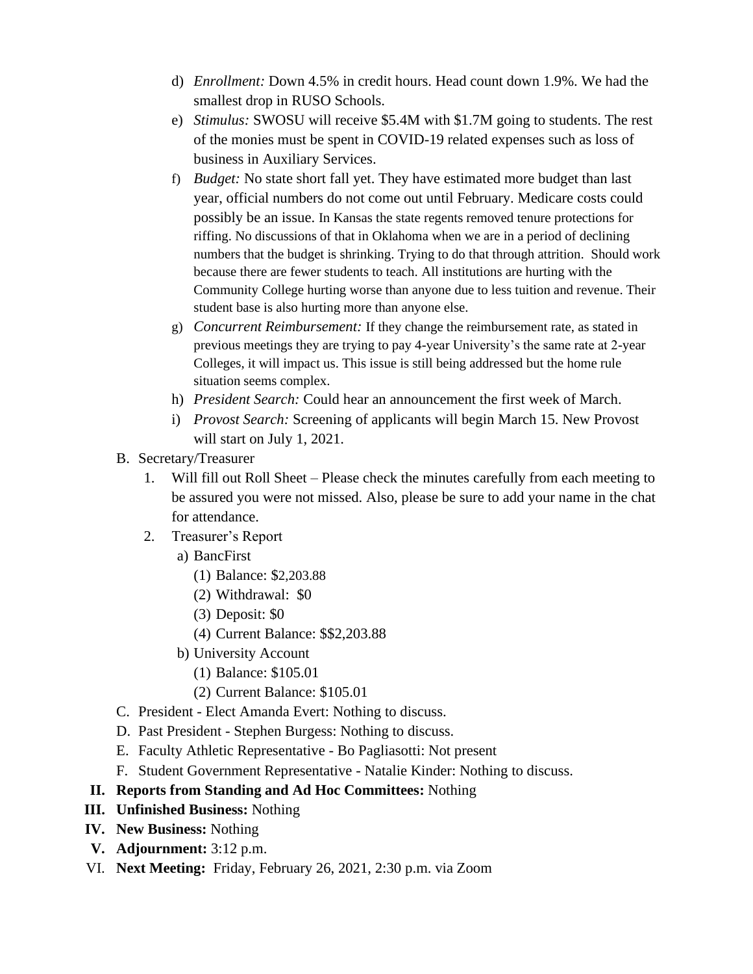- d) *Enrollment:* Down 4.5% in credit hours. Head count down 1.9%. We had the smallest drop in RUSO Schools.
- e) *Stimulus:* SWOSU will receive \$5.4M with \$1.7M going to students. The rest of the monies must be spent in COVID-19 related expenses such as loss of business in Auxiliary Services.
- f) *Budget:* No state short fall yet. They have estimated more budget than last year, official numbers do not come out until February. Medicare costs could possibly be an issue. In Kansas the state regents removed tenure protections for riffing. No discussions of that in Oklahoma when we are in a period of declining numbers that the budget is shrinking. Trying to do that through attrition. Should work because there are fewer students to teach. All institutions are hurting with the Community College hurting worse than anyone due to less tuition and revenue. Their student base is also hurting more than anyone else.
- g) *Concurrent Reimbursement:* If they change the reimbursement rate, as stated in previous meetings they are trying to pay 4-year University's the same rate at 2-year Colleges, it will impact us. This issue is still being addressed but the home rule situation seems complex.
- h) *President Search:* Could hear an announcement the first week of March.
- i) *Provost Search:* Screening of applicants will begin March 15. New Provost will start on July 1, 2021.
- B. Secretary/Treasurer
	- 1. Will fill out Roll Sheet Please check the minutes carefully from each meeting to be assured you were not missed. Also, please be sure to add your name in the chat for attendance.
	- 2. Treasurer's Report
		- a) BancFirst
			- (1) Balance: \$2,203.88
			- (2) Withdrawal: \$0
			- (3) Deposit: \$0
			- (4) Current Balance: \$\$2,203.88
		- b) University Account
			- (1) Balance: \$105.01
			- (2) Current Balance: \$105.01
- C. President Elect Amanda Evert: Nothing to discuss.
- D. Past President Stephen Burgess: Nothing to discuss.
- E. Faculty Athletic Representative Bo Pagliasotti: Not present
- F. Student Government Representative Natalie Kinder: Nothing to discuss.
- **II. Reports from Standing and Ad Hoc Committees:** Nothing
- **III. Unfinished Business:** Nothing
- **IV. New Business:** Nothing
- **V. Adjournment:** 3:12 p.m.
- VI. **Next Meeting:** Friday, February 26, 2021, 2:30 p.m. via Zoom